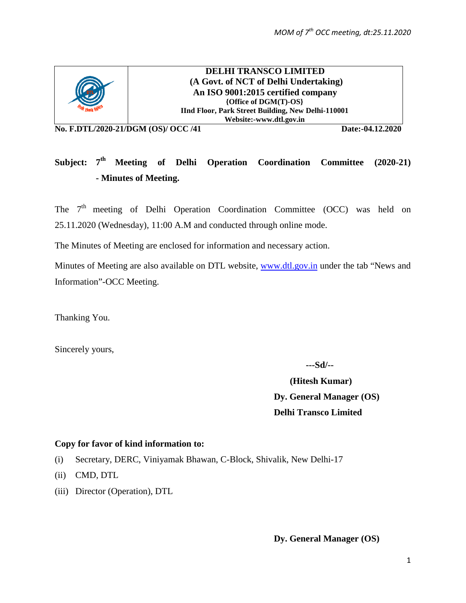

**DELHI TRANSCO LIMITED (A Govt. of NCT of Delhi Undertaking) An ISO 9001:2015 certified company {Office of DGM(T)-OS} IInd Floor, Park Street Building, New Delhi-110001 Website:-www.dtl.gov.in**

**No. F.DTL/2020-21/DGM (OS)/ OCC /41 Date:-04.12.2020**

# Subject: 7<sup>th</sup> Meeting of Delhi Operation Coordination Committee (2020-21) **- Minutes of Meeting.**

The  $7<sup>th</sup>$  meeting of Delhi Operation Coordination Committee (OCC) was held on 25.11.2020 (Wednesday), 11:00 A.M and conducted through online mode.

The Minutes of Meeting are enclosed for information and necessary action.

Minutes of Meeting are also available on DTL website, [www.dtl.gov.in](http://www.dtl.gov.in/) under the tab "News and Information"-OCC Meeting.

Thanking You.

Sincerely yours,

 **---Sd/--**

 **(Hitesh Kumar) Dy. General Manager (OS) Delhi Transco Limited**

#### **Copy for favor of kind information to:**

- (i) Secretary, DERC, Viniyamak Bhawan, C-Block, Shivalik, New Delhi-17
- (ii) CMD, DTL
- (iii) Director (Operation), DTL

**Dy. General Manager (OS)**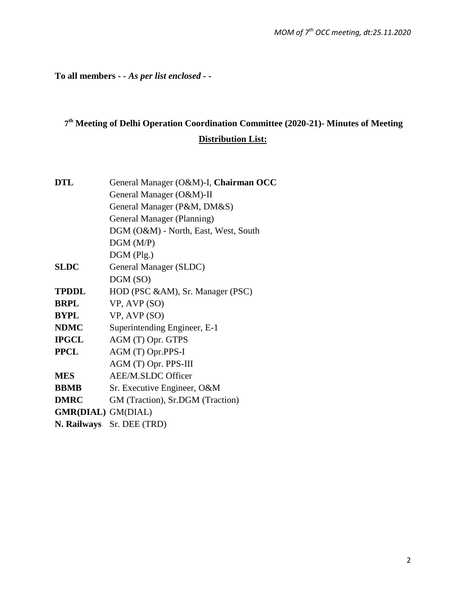**To all members** *- - As per list enclosed - -*

# **7th Meeting of Delhi Operation Coordination Committee (2020-21)- Minutes of Meeting Distribution List:**

| <b>DTL</b>                | General Manager (O&M)-I, Chairman OCC |
|---------------------------|---------------------------------------|
|                           | General Manager (O&M)-II              |
|                           | General Manager (P&M, DM&S)           |
|                           | General Manager (Planning)            |
|                           | DGM (O&M) - North, East, West, South  |
|                           | DGM(M/P)                              |
|                           | $DGM$ (Plg.)                          |
| <b>SLDC</b>               | General Manager (SLDC)                |
|                           | DGM (SO)                              |
| <b>TPDDL</b>              | HOD (PSC &AM), Sr. Manager (PSC)      |
| <b>BRPL</b>               | VP, AVP (SO)                          |
| <b>BYPL</b>               | VP, AVP (SO)                          |
| <b>NDMC</b>               | Superintending Engineer, E-1          |
| <b>IPGCL</b>              | AGM (T) Opr. GTPS                     |
| <b>PPCL</b>               | AGM (T) Opr.PPS-I                     |
|                           | AGM (T) Opr. PPS-III                  |
| <b>MES</b>                | <b>AEE/M.SLDC Officer</b>             |
| <b>BBMB</b>               | Sr. Executive Engineer, O&M           |
| <b>DMRC</b>               | GM (Traction), Sr.DGM (Traction)      |
| <b>GMR(DIAL)</b> GM(DIAL) |                                       |
|                           | N. Railways Sr. DEE (TRD)             |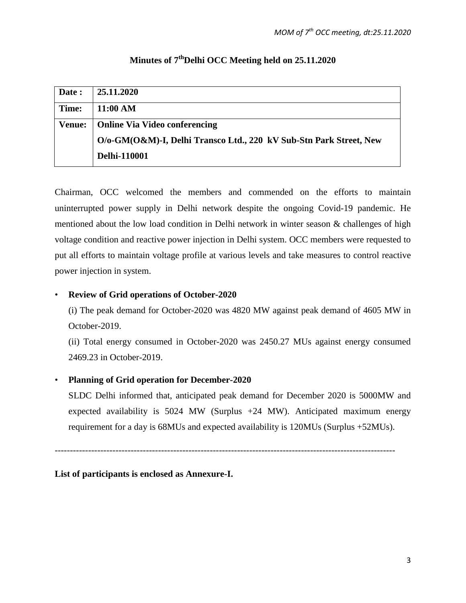| Date:         | 25.11.2020                                                         |
|---------------|--------------------------------------------------------------------|
| Time:         | 11:00 AM                                                           |
| <b>Venue:</b> | <b>Online Via Video conferencing</b>                               |
|               | O/o-GM(O&M)-I, Delhi Transco Ltd., 220 kV Sub-Stn Park Street, New |
|               | <b>Delhi-110001</b>                                                |

# Minutes of 7<sup>th</sup>Delhi OCC Meeting held on 25.11.2020

Chairman, OCC welcomed the members and commended on the efforts to maintain uninterrupted power supply in Delhi network despite the ongoing Covid-19 pandemic. He mentioned about the low load condition in Delhi network in winter season & challenges of high voltage condition and reactive power injection in Delhi system. OCC members were requested to put all efforts to maintain voltage profile at various levels and take measures to control reactive power injection in system.

# • **Review of Grid operations of October-2020**

(i) The peak demand for October-2020 was 4820 MW against peak demand of 4605 MW in October-2019.

(ii) Total energy consumed in October-2020 was 2450.27 MUs against energy consumed 2469.23 in October-2019.

# • **Planning of Grid operation for December-2020**

 SLDC Delhi informed that, anticipated peak demand for December 2020 is 5000MW and expected availability is 5024 MW (Surplus +24 MW). Anticipated maximum energy requirement for a day is 68MUs and expected availability is 120MUs (Surplus +52MUs).

----------------------------------------------------------------------------------------------------------------

**List of participants is enclosed as Annexure-I.**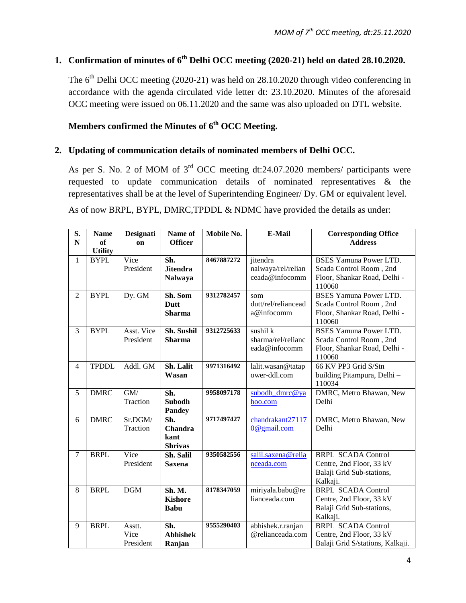# **1. Confirmation of minutes of 6th Delhi OCC meeting (2020-21) held on dated 28.10.2020.**

The  $6<sup>th</sup>$  Delhi OCC meeting (2020-21) was held on 28.10.2020 through video conferencing in accordance with the agenda circulated vide letter dt: 23.10.2020. Minutes of the aforesaid OCC meeting were issued on 06.11.2020 and the same was also uploaded on DTL website.

# Members confirmed the Minutes of 6<sup>th</sup> OCC Meeting.

### **2. Updating of communication details of nominated members of Delhi OCC.**

As per S. No. 2 of MOM of 3rd OCC meeting dt:24.07.2020 members/ participants were requested to update communication details of nominated representatives & the representatives shall be at the level of Superintending Engineer/ Dy. GM or equivalent level.

As of now BRPL, BYPL, DMRC, TPDDL & NDMC have provided the details as under:

| S.<br>${\bf N}$ | <b>Name</b><br>of | Designati<br>on             | Name of<br><b>Officer</b>                | Mobile No. | <b>E-Mail</b>                                    | <b>Corresponding Office</b><br><b>Address</b>                                                      |
|-----------------|-------------------|-----------------------------|------------------------------------------|------------|--------------------------------------------------|----------------------------------------------------------------------------------------------------|
|                 | <b>Utility</b>    |                             |                                          |            |                                                  |                                                                                                    |
| $\mathbf{1}$    | <b>BYPL</b>       | Vice<br>President           | Sh.<br><b>Jitendra</b><br><b>Nalwaya</b> | 8467887272 | jitendra<br>nalwaya/rel/relian<br>ceada@infocomm | <b>BSES Yamuna Power LTD.</b><br>Scada Control Room, 2nd<br>Floor, Shankar Road, Delhi -<br>110060 |
| $\overline{2}$  | <b>BYPL</b>       | Dy. GM                      | Sh. Som<br><b>Dutt</b><br><b>Sharma</b>  | 9312782457 | som<br>dutt/rel/reliancead<br>a@infocomm         | <b>BSES Yamuna Power LTD.</b><br>Scada Control Room, 2nd<br>Floor, Shankar Road, Delhi -<br>110060 |
| 3               | <b>BYPL</b>       | Asst. Vice<br>President     | Sh. Sushil<br><b>Sharma</b>              | 9312725633 | sushil k<br>sharma/rel/relianc<br>eada@infocomm  | <b>BSES Yamuna Power LTD.</b><br>Scada Control Room, 2nd<br>Floor, Shankar Road, Delhi -<br>110060 |
| $\overline{4}$  | <b>TPDDL</b>      | Addl. GM                    | Sh. Lalit<br>Wasan                       | 9971316492 | lalit.wasan@tatap<br>ower-ddl.com                | 66 KV PP3 Grid S/Stn<br>building Pitampura, Delhi -<br>110034                                      |
| 5               | <b>DMRC</b>       | GM/<br>Traction             | Sh.<br><b>Subodh</b><br><b>Pandey</b>    | 9958097178 | subodh dmrc@ya<br>hoo.com                        | DMRC, Metro Bhawan, New<br>Delhi                                                                   |
| 6               | <b>DMRC</b>       | Sr.DGM/<br>Traction         | Sh.<br>Chandra<br>kant<br><b>Shrivas</b> | 9717497427 | chandrakant27117<br>0@gmail.com                  | DMRC, Metro Bhawan, New<br>Delhi                                                                   |
| $\tau$          | <b>BRPL</b>       | Vice<br>President           | Sh. Salil<br><b>Saxena</b>               | 9350582556 | salil.saxena@relia<br>nceada.com                 | <b>BRPL SCADA Control</b><br>Centre, 2nd Floor, 33 kV<br>Balaji Grid Sub-stations,<br>Kalkaji.     |
| 8               | <b>BRPL</b>       | <b>DGM</b>                  | Sh. M.<br><b>Kishore</b><br><b>Babu</b>  | 8178347059 | miriyala.babu@re<br>lianceada.com                | <b>BRPL SCADA Control</b><br>Centre, 2nd Floor, 33 kV<br>Balaji Grid Sub-stations,<br>Kalkaji.     |
| 9               | <b>BRPL</b>       | Asstt.<br>Vice<br>President | Sh.<br><b>Abhishek</b><br>Ranjan         | 9555290403 | abhishek.r.ranjan<br>@relianceada.com            | <b>BRPL SCADA Control</b><br>Centre, 2nd Floor, 33 kV<br>Balaji Grid S/stations, Kalkaji.          |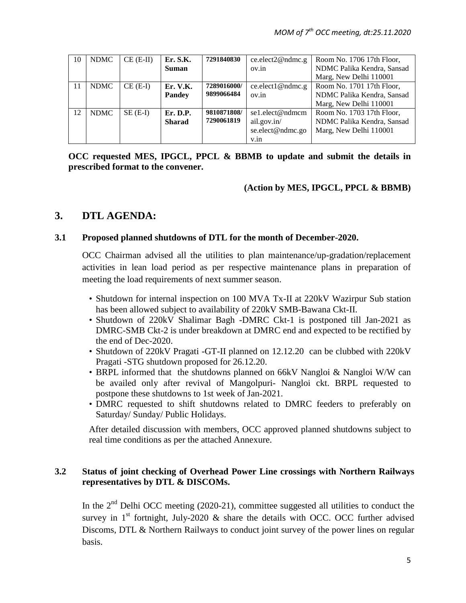| 10 | <b>NDMC</b> | $CE$ (E-II) | Er. S.K.      | 7291840830  | ce.elect2@ndmc.g | Room No. 1706 17th Floor,  |
|----|-------------|-------------|---------------|-------------|------------------|----------------------------|
|    |             |             | <b>Suman</b>  |             | ov.in            | NDMC Palika Kendra, Sansad |
|    |             |             |               |             |                  | Marg, New Delhi 110001     |
| 11 | <b>NDMC</b> | $CE$ (E-I)  | Er. V.K.      | 7289016000/ | ce.elect1@ndmc.g | Room No. 1701 17th Floor,  |
|    |             |             | <b>Pandey</b> | 9899066484  | ov.in            | NDMC Palika Kendra, Sansad |
|    |             |             |               |             |                  | Marg, New Delhi 110001     |
| 12 | <b>NDMC</b> | $SE$ (E-I)  | Er. D.P.      | 9810871808/ | se1.elect@ndmcm  | Room No. 1703 17th Floor,  |
|    |             |             | <b>Sharad</b> | 7290061819  | ail.gov.in/      | NDMC Palika Kendra, Sansad |
|    |             |             |               |             | se.elect@ndmc.go | Marg, New Delhi 110001     |
|    |             |             |               |             | V.in             |                            |

**OCC requested MES, IPGCL, PPCL & BBMB to update and submit the details in prescribed format to the convener.** 

**(Action by MES, IPGCL, PPCL & BBMB)** 

# **3. DTL AGENDA:**

#### **3.1 Proposed planned shutdowns of DTL for the month of December-2020.**

OCC Chairman advised all the utilities to plan maintenance/up-gradation/replacement activities in lean load period as per respective maintenance plans in preparation of meeting the load requirements of next summer season.

- Shutdown for internal inspection on 100 MVA Tx-II at 220kV Wazirpur Sub station has been allowed subject to availability of 220kV SMB-Bawana Ckt-II.
- Shutdown of 220kV Shalimar Bagh -DMRC Ckt-1 is postponed till Jan-2021 as DMRC-SMB Ckt-2 is under breakdown at DMRC end and expected to be rectified by the end of Dec-2020.
- Shutdown of 220kV Pragati -GT-II planned on 12.12.20 can be clubbed with 220kV Pragati -STG shutdown proposed for 26.12.20.
- BRPL informed that the shutdowns planned on 66kV Nangloi & Nangloi W/W can be availed only after revival of Mangolpuri- Nangloi ckt. BRPL requested to postpone these shutdowns to 1st week of Jan-2021.
- DMRC requested to shift shutdowns related to DMRC feeders to preferably on Saturday/ Sunday/ Public Holidays.

After detailed discussion with members, OCC approved planned shutdowns subject to real time conditions as per the attached Annexure.

#### **3.2 Status of joint checking of Overhead Power Line crossings with Northern Railways representatives by DTL & DISCOMs.**

In the  $2<sup>nd</sup>$  Delhi OCC meeting (2020-21), committee suggested all utilities to conduct the survey in  $1<sup>st</sup>$  fortnight, July-2020 & share the details with OCC. OCC further advised Discoms, DTL & Northern Railways to conduct joint survey of the power lines on regular basis.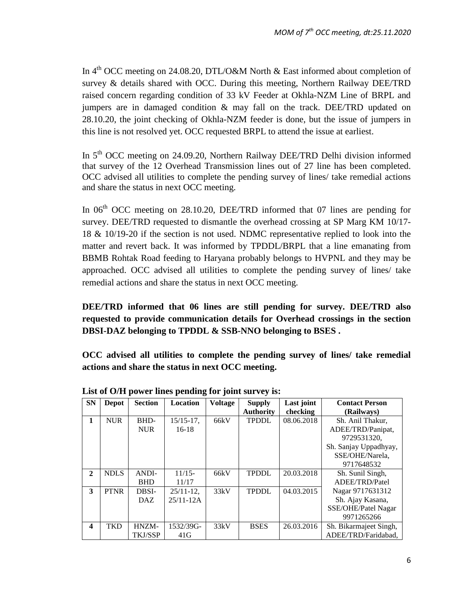In 4<sup>th</sup> OCC meeting on 24.08.20, DTL/O&M North & East informed about completion of survey & details shared with OCC. During this meeting, Northern Railway DEE/TRD raised concern regarding condition of 33 kV Feeder at Okhla-NZM Line of BRPL and jumpers are in damaged condition & may fall on the track. DEE/TRD updated on 28.10.20, the joint checking of Okhla-NZM feeder is done, but the issue of jumpers in this line is not resolved yet. OCC requested BRPL to attend the issue at earliest.

In 5<sup>th</sup> OCC meeting on 24.09.20, Northern Railway DEE/TRD Delhi division informed that survey of the 12 Overhead Transmission lines out of 27 line has been completed. OCC advised all utilities to complete the pending survey of lines/ take remedial actions and share the status in next OCC meeting.

In  $06<sup>th</sup> OCC$  meeting on 28.10.20, DEE/TRD informed that 07 lines are pending for survey. DEE/TRD requested to dismantle the overhead crossing at SP Marg KM 10/17- 18 & 10/19-20 if the section is not used. NDMC representative replied to look into the matter and revert back. It was informed by TPDDL/BRPL that a line emanating from BBMB Rohtak Road feeding to Haryana probably belongs to HVPNL and they may be approached. OCC advised all utilities to complete the pending survey of lines/ take remedial actions and share the status in next OCC meeting.

**DEE/TRD informed that 06 lines are still pending for survey. DEE/TRD also requested to provide communication details for Overhead crossings in the section DBSI-DAZ belonging to TPDDL & SSB-NNO belonging to BSES .** 

**OCC advised all utilities to complete the pending survey of lines/ take remedial actions and share the status in next OCC meeting.**

| <b>SN</b>    | <b>Depot</b> | <b>Section</b> | <b>Location</b> | <b>Voltage</b> | <b>Supply</b>    | Last joint | <b>Contact Person</b>  |
|--------------|--------------|----------------|-----------------|----------------|------------------|------------|------------------------|
|              |              |                |                 |                | <b>Authority</b> | checking   | (Railways)             |
| 1            | <b>NUR</b>   | BHD-           | $15/15-17$ ,    | 66kV           | <b>TPDDL</b>     | 08.06.2018 | Sh. Anil Thakur,       |
|              |              | <b>NUR</b>     | $16-18$         |                |                  |            | ADEE/TRD/Panipat,      |
|              |              |                |                 |                |                  |            | 9729531320.            |
|              |              |                |                 |                |                  |            | Sh. Sanjay Uppadhyay,  |
|              |              |                |                 |                |                  |            | SSE/OHE/Narela,        |
|              |              |                |                 |                |                  |            | 9717648532             |
| $\mathbf{2}$ | <b>NDLS</b>  | ANDI-          | $11/15-$        | 66kV           | <b>TPDDL</b>     | 20.03.2018 | Sh. Sunil Singh,       |
|              |              | <b>BHD</b>     | 11/17           |                |                  |            | ADEE/TRD/Patel         |
| 3            | <b>PTNR</b>  | DBSI-          | $25/11-12$ ,    | 33kV           | <b>TPDDL</b>     | 04.03.2015 | Nagar 9717631312       |
|              |              | DAZ.           | $25/11 - 12A$   |                |                  |            | Sh. Ajay Kasana,       |
|              |              |                |                 |                |                  |            | SSE/OHE/Patel Nagar    |
|              |              |                |                 |                |                  |            | 9971265266             |
| 4            | <b>TKD</b>   | HNZM-          | 1532/39G-       | 33kV           | <b>BSES</b>      | 26.03.2016 | Sh. Bikarmajeet Singh, |
|              |              | <b>TKJ/SSP</b> | 41G             |                |                  |            | ADEE/TRD/Faridabad.    |

**List of O/H power lines pending for joint survey is:**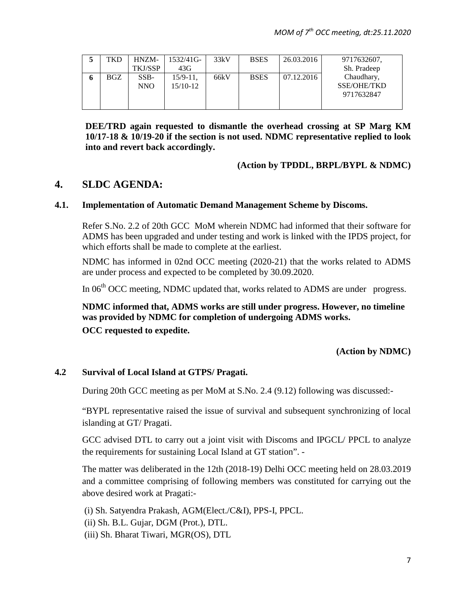| TKD | HNZM-          | $1532/41$ G-  | 33kV | <b>BSES</b> | 26.03.2016 | 9717632607. |
|-----|----------------|---------------|------|-------------|------------|-------------|
|     | <b>TKJ/SSP</b> | 43G           |      |             |            | Sh. Pradeep |
| BGZ | SSB-           | $15/9 - 11$ . | 66kV | <b>BSES</b> | 07.12.2016 | Chaudhary,  |
|     | NNO            | $15/10-12$    |      |             |            | SSE/OHE/TKD |
|     |                |               |      |             |            | 9717632847  |
|     |                |               |      |             |            |             |

**DEE/TRD again requested to dismantle the overhead crossing at SP Marg KM 10/17-18 & 10/19-20 if the section is not used. NDMC representative replied to look into and revert back accordingly.**

#### **(Action by TPDDL, BRPL/BYPL & NDMC)**

# **4. SLDC AGENDA:**

#### **4.1. Implementation of Automatic Demand Management Scheme by Discoms.**

Refer S.No. 2.2 of 20th GCC MoM wherein NDMC had informed that their software for ADMS has been upgraded and under testing and work is linked with the IPDS project, for which efforts shall be made to complete at the earliest.

NDMC has informed in 02nd OCC meeting (2020-21) that the works related to ADMS are under process and expected to be completed by 30.09.2020.

In 06<sup>th</sup> OCC meeting, NDMC updated that, works related to ADMS are under progress.

# **NDMC informed that, ADMS works are still under progress. However, no timeline was provided by NDMC for completion of undergoing ADMS works. OCC requested to expedite.**

**(Action by NDMC)**

#### **4.2 Survival of Local Island at GTPS/ Pragati.**

During 20th GCC meeting as per MoM at S.No. 2.4 (9.12) following was discussed:-

"BYPL representative raised the issue of survival and subsequent synchronizing of local islanding at GT/ Pragati.

GCC advised DTL to carry out a joint visit with Discoms and IPGCL/ PPCL to analyze the requirements for sustaining Local Island at GT station". -

The matter was deliberated in the 12th (2018-19) Delhi OCC meeting held on 28.03.2019 and a committee comprising of following members was constituted for carrying out the above desired work at Pragati:-

(i) Sh. Satyendra Prakash, AGM(Elect./C&I), PPS-I, PPCL.

(ii) Sh. B.L. Gujar, DGM (Prot.), DTL.

(iii) Sh. Bharat Tiwari, MGR(OS), DTL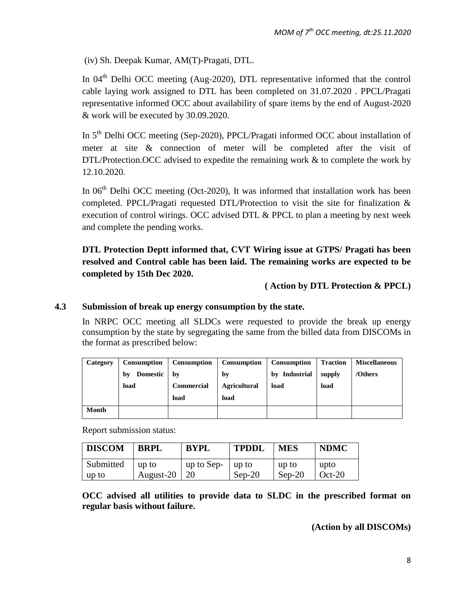(iv) Sh. Deepak Kumar, AM(T)-Pragati, DTL.

In  $04<sup>th</sup>$  Delhi OCC meeting (Aug-2020), DTL representative informed that the control cable laying work assigned to DTL has been completed on 31.07.2020 . PPCL/Pragati representative informed OCC about availability of spare items by the end of August-2020 & work will be executed by 30.09.2020.

In 5<sup>th</sup> Delhi OCC meeting (Sep-2020), PPCL/Pragati informed OCC about installation of meter at site & connection of meter will be completed after the visit of DTL/Protection. OCC advised to expedite the remaining work & to complete the work by 12.10.2020.

In  $06<sup>th</sup>$  Delhi OCC meeting (Oct-2020), It was informed that installation work has been completed. PPCL/Pragati requested DTL/Protection to visit the site for finalization & execution of control wirings. OCC advised DTL & PPCL to plan a meeting by next week and complete the pending works.

**DTL Protection Deptt informed that, CVT Wiring issue at GTPS/ Pragati has been resolved and Control cable has been laid. The remaining works are expected to be completed by 15th Dec 2020.**

# **( Action by DTL Protection & PPCL)**

# **4.3 Submission of break up energy consumption by the state.**

In NRPC OCC meeting all SLDCs were requested to provide the break up energy consumption by the state by segregating the same from the billed data from DISCOMs in the format as prescribed below:

| Category | <b>Consumption</b>    | Consumption | Consumption         | Consumption   | <b>Traction</b> | <b>Miscellaneous</b> |
|----------|-----------------------|-------------|---------------------|---------------|-----------------|----------------------|
|          | <b>Domestic</b><br>by | hv          | by                  | by Industrial | supply          | /Others              |
|          | load                  | Commercial  | <b>Agricultural</b> | load          | load            |                      |
|          |                       | load        | load                |               |                 |                      |
| Month    |                       |             |                     |               |                 |                      |

Report submission status:

| <b>DISCOM</b> | <b>BRPL</b>  | <b>BYPL</b> | <b>TPDDL</b> | <b>MES</b> | <b>NDMC</b> |
|---------------|--------------|-------------|--------------|------------|-------------|
| Submitted     | up to        | up to Sep-  | up to        | up to      | upto        |
| up to         | August- $20$ | -20         | $Sep-20$     | $Sep-20$   | $Oct-20$    |

**OCC advised all utilities to provide data to SLDC in the prescribed format on regular basis without failure.**

**(Action by all DISCOMs)**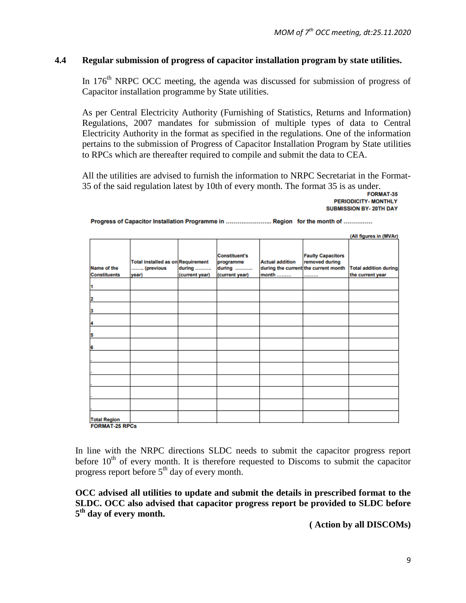#### **4.4 Regular submission of progress of capacitor installation program by state utilities.**

In 176<sup>th</sup> NRPC OCC meeting, the agenda was discussed for submission of progress of Capacitor installation programme by State utilities.

As per Central Electricity Authority (Furnishing of Statistics, Returns and Information) Regulations, 2007 mandates for submission of multiple types of data to Central Electricity Authority in the format as specified in the regulations. One of the information pertains to the submission of Progress of Capacitor Installation Program by State utilities to RPCs which are thereafter required to compile and submit the data to CEA.

All the utilities are advised to furnish the information to NRPC Secretariat in the Format-35 of the said regulation latest by 10th of every month. The format 35 is as under.

**PERIODICITY- MONTHLY SUBMISSION BY-20TH DAY** 

|                                              |                                                                |                          |                                                               |                                 |                                                                                        | (All figures in (MVAr)                           |
|----------------------------------------------|----------------------------------------------------------------|--------------------------|---------------------------------------------------------------|---------------------------------|----------------------------------------------------------------------------------------|--------------------------------------------------|
| Name of the<br><b>Constituents</b>           | <b>Total installed as on Requirement</b><br>(previous<br>year) | during<br>(current year) | <b>Constituent's</b><br>programme<br>during<br>(current year) | <b>Actual addition</b><br>month | <b>Faulty Capacitors</b><br>removed during<br>during the current the current month<br> | <b>Total addition during</b><br>the current year |
|                                              |                                                                |                          |                                                               |                                 |                                                                                        |                                                  |
|                                              |                                                                |                          |                                                               |                                 |                                                                                        |                                                  |
|                                              |                                                                |                          |                                                               |                                 |                                                                                        |                                                  |
| и                                            |                                                                |                          |                                                               |                                 |                                                                                        |                                                  |
| 5                                            |                                                                |                          |                                                               |                                 |                                                                                        |                                                  |
| 6                                            |                                                                |                          |                                                               |                                 |                                                                                        |                                                  |
|                                              |                                                                |                          |                                                               |                                 |                                                                                        |                                                  |
|                                              |                                                                |                          |                                                               |                                 |                                                                                        |                                                  |
|                                              |                                                                |                          |                                                               |                                 |                                                                                        |                                                  |
|                                              |                                                                |                          |                                                               |                                 |                                                                                        |                                                  |
|                                              |                                                                |                          |                                                               |                                 |                                                                                        |                                                  |
| <b>Total Region</b><br><b>FORMAT-25 RPCs</b> |                                                                |                          |                                                               |                                 |                                                                                        |                                                  |

Progress of Capacitor Installation Programme in .......................... Region for the month of ..............

In line with the NRPC directions SLDC needs to submit the capacitor progress report before  $10<sup>th</sup>$  of every month. It is therefore requested to Discoms to submit the capacitor progress report before  $5<sup>th</sup>$  day of every month.

**OCC advised all utilities to update and submit the details in prescribed format to the SLDC. OCC also advised that capacitor progress report be provided to SLDC before 5th day of every month.**

**( Action by all DISCOMs)**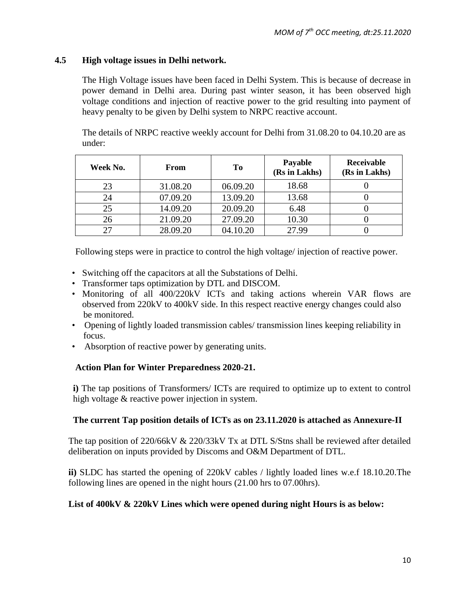#### **4.5 High voltage issues in Delhi network.**

The High Voltage issues have been faced in Delhi System. This is because of decrease in power demand in Delhi area. During past winter season, it has been observed high voltage conditions and injection of reactive power to the grid resulting into payment of heavy penalty to be given by Delhi system to NRPC reactive account.

The details of NRPC reactive weekly account for Delhi from 31.08.20 to 04.10.20 are as under:

| Week No. | From     | T <sub>0</sub> | Payable<br>(Rs in Lakhs) | Receivable<br>(Rs in Lakhs) |
|----------|----------|----------------|--------------------------|-----------------------------|
| 23       | 31.08.20 | 06.09.20       | 18.68                    |                             |
| 24       | 07.09.20 | 13.09.20       | 13.68                    |                             |
| 25       | 14.09.20 | 20.09.20       | 6.48                     |                             |
| 26       | 21.09.20 | 27.09.20       | 10.30                    |                             |
|          | 28.09.20 | 04.10.20       | 27.99                    |                             |

Following steps were in practice to control the high voltage/ injection of reactive power.

- Switching off the capacitors at all the Substations of Delhi.
- Transformer taps optimization by DTL and DISCOM.
- Monitoring of all 400/220kV ICTs and taking actions wherein VAR flows are observed from 220kV to 400kV side. In this respect reactive energy changes could also be monitored.
- Opening of lightly loaded transmission cables/ transmission lines keeping reliability in focus.
- Absorption of reactive power by generating units.

#### **Action Plan for Winter Preparedness 2020-21.**

**i)** The tap positions of Transformers/ ICTs are required to optimize up to extent to control high voltage & reactive power injection in system.

#### **The current Tap position details of ICTs as on 23.11.2020 is attached as Annexure-II**

The tap position of  $220/66kV \& 220/33kV$  Tx at DTL S/Stns shall be reviewed after detailed deliberation on inputs provided by Discoms and O&M Department of DTL.

**ii)** SLDC has started the opening of 220kV cables / lightly loaded lines w.e.f 18.10.20.The following lines are opened in the night hours (21.00 hrs to 07.00hrs).

#### **List of 400kV & 220kV Lines which were opened during night Hours is as below:**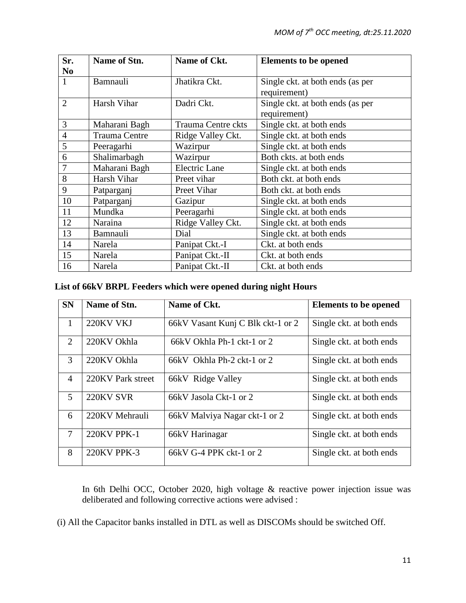| Sr.<br>N <sub>0</sub> | Name of Stn.         | Name of Ckt.         | <b>Elements to be opened</b>     |
|-----------------------|----------------------|----------------------|----------------------------------|
| $\mathbf{1}$          | Bamnauli             | Jhatikra Ckt.        | Single ckt. at both ends (as per |
|                       |                      |                      | requirement)                     |
| $\overline{2}$        | Harsh Vihar          | Dadri Ckt.           | Single ckt. at both ends (as per |
|                       |                      |                      | requirement)                     |
| 3                     | Maharani Bagh        | Trauma Centre ckts   | Single ckt. at both ends         |
| $\overline{4}$        | <b>Trauma Centre</b> | Ridge Valley Ckt.    | Single ckt. at both ends         |
| 5                     | Peeragarhi           | Wazirpur             | Single ckt. at both ends         |
| 6                     | Shalimarbagh         | Wazirpur             | Both ckts. at both ends          |
| 7                     | Maharani Bagh        | <b>Electric Lane</b> | Single ckt. at both ends         |
| 8                     | Harsh Vihar          | Preet vihar          | Both ckt. at both ends           |
| 9                     | Patparganj           | Preet Vihar          | Both ckt. at both ends           |
| 10                    | Patparganj           | Gazipur              | Single ckt. at both ends         |
| 11                    | Mundka               | Peeragarhi           | Single ckt. at both ends         |
| 12                    | Naraina              | Ridge Valley Ckt.    | Single ckt. at both ends         |
| 13                    | Bamnauli             | Dial                 | Single ckt. at both ends         |
| 14                    | Narela               | Panipat Ckt.-I       | Ckt. at both ends                |
| 15                    | Narela               | Panipat Ckt.-II      | Ckt. at both ends                |
| 16                    | Narela               | Panipat Ckt.-II      | Ckt. at both ends                |

# **List of 66kV BRPL Feeders which were opened during night Hours**

| <b>SN</b>                   | Name of Stn.       | Name of Ckt.                      | <b>Elements to be opened</b> |
|-----------------------------|--------------------|-----------------------------------|------------------------------|
| $\mathbf{1}$                | 220KV VKJ          | 66kV Vasant Kunj C Blk ckt-1 or 2 | Single ckt. at both ends     |
| $\mathcal{D}_{\mathcal{L}}$ | 220KV Okhla        | 66kV Okhla Ph-1 ckt-1 or 2        | Single ckt. at both ends     |
| 3                           | 220KV Okhla        | 66kV Okhla Ph-2 ckt-1 or 2        | Single ckt. at both ends     |
| $\overline{4}$              | 220KV Park street  | 66kV Ridge Valley                 | Single ckt. at both ends     |
| $\mathfrak{S}$              | 220KV SVR          | 66kV Jasola Ckt-1 or 2            | Single ckt. at both ends     |
| 6                           | 220KV Mehrauli     | 66kV Malviya Nagar ckt-1 or 2     | Single ckt. at both ends     |
| $\tau$                      | <b>220KV PPK-1</b> | 66kV Harinagar                    | Single ckt. at both ends     |
| 8                           | <b>220KV PPK-3</b> | 66kV G-4 PPK ckt-1 or 2           | Single ckt. at both ends     |

In 6th Delhi OCC, October 2020, high voltage & reactive power injection issue was deliberated and following corrective actions were advised :

(i) All the Capacitor banks installed in DTL as well as DISCOMs should be switched Off.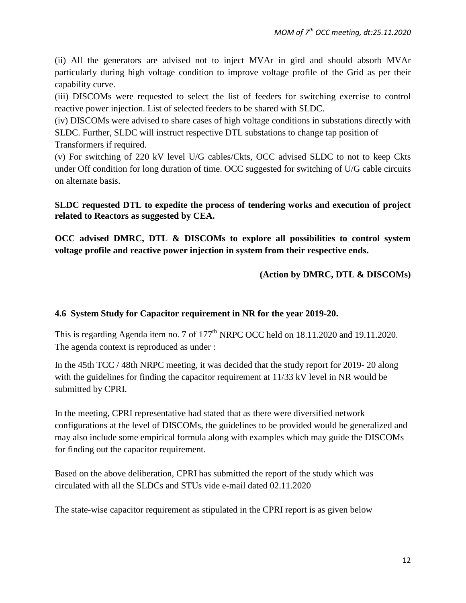(ii) All the generators are advised not to inject MVAr in gird and should absorb MVAr particularly during high voltage condition to improve voltage profile of the Grid as per their capability curve.

(iii) DISCOMs were requested to select the list of feeders for switching exercise to control reactive power injection. List of selected feeders to be shared with SLDC.

(iv) DISCOMs were advised to share cases of high voltage conditions in substations directly with SLDC. Further, SLDC will instruct respective DTL substations to change tap position of Transformers if required.

(v) For switching of 220 kV level U/G cables/Ckts, OCC advised SLDC to not to keep Ckts under Off condition for long duration of time. OCC suggested for switching of U/G cable circuits on alternate basis.

**SLDC requested DTL to expedite the process of tendering works and execution of project related to Reactors as suggested by CEA.** 

**OCC advised DMRC, DTL & DISCOMs to explore all possibilities to control system voltage profile and reactive power injection in system from their respective ends.**

# **(Action by DMRC, DTL & DISCOMs)**

# **4.6 System Study for Capacitor requirement in NR for the year 2019-20.**

This is regarding Agenda item no. 7 of  $177<sup>th</sup>$  NRPC OCC held on 18.11.2020 and 19.11.2020. The agenda context is reproduced as under :

In the 45th TCC / 48th NRPC meeting, it was decided that the study report for 2019- 20 along with the guidelines for finding the capacitor requirement at 11/33 kV level in NR would be submitted by CPRI.

In the meeting, CPRI representative had stated that as there were diversified network configurations at the level of DISCOMs, the guidelines to be provided would be generalized and may also include some empirical formula along with examples which may guide the DISCOMs for finding out the capacitor requirement.

Based on the above deliberation, CPRI has submitted the report of the study which was circulated with all the SLDCs and STUs vide e-mail dated 02.11.2020

The state-wise capacitor requirement as stipulated in the CPRI report is as given below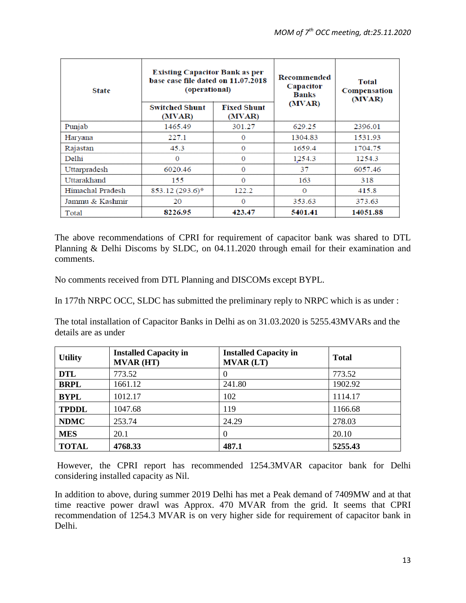| <b>State</b>     | <b>Existing Capacitor Bank as per</b><br>base case file dated on 11.07.2018<br>(operational) |                              | Recommended<br>Capacitor<br><b>Banks</b> | <b>Total</b><br>Compensation<br>(MVAR) |
|------------------|----------------------------------------------------------------------------------------------|------------------------------|------------------------------------------|----------------------------------------|
|                  | <b>Switched Shunt</b><br>(MVAR)                                                              | <b>Fixed Shunt</b><br>(MVAR) | (MVAR)                                   |                                        |
| Punjab           | 1465.49                                                                                      | 301.27                       | 629.25                                   | 2396.01                                |
| Haryana          | 227.1                                                                                        | $\Omega$                     | 1304.83                                  | 1531.93                                |
| Rajastan         | 45.3                                                                                         | $\bf{0}$                     | 1659.4                                   | 1704.75                                |
| Delhi            | $\Omega$                                                                                     | $\Omega$                     | 1254.3                                   | 1254.3                                 |
| Uttarpradesh     | 6020.46                                                                                      | $\bf{0}$                     | 37                                       | 6057.46                                |
| Uttarakhand      | 155                                                                                          | $\Omega$                     | 163                                      | 318                                    |
| Himachal Pradesh | 853.12 (293.6)*                                                                              | 122.2                        | $\Omega$                                 | 415.8                                  |
| Jammu & Kashmir  | 20                                                                                           | $\Omega$                     | 353.63                                   | 373.63                                 |
| Total            | 8226.95                                                                                      | 423.47                       | 5401.41                                  | 14051.88                               |

The above recommendations of CPRI for requirement of capacitor bank was shared to DTL Planning & Delhi Discoms by SLDC, on 04.11.2020 through email for their examination and comments.

No comments received from DTL Planning and DISCOMs except BYPL.

In 177th NRPC OCC, SLDC has submitted the preliminary reply to NRPC which is as under :

The total installation of Capacitor Banks in Delhi as on 31.03.2020 is 5255.43MVARs and the details are as under

| <b>Utility</b> | <b>Installed Capacity in</b><br><b>MVAR (HT)</b> | <b>Installed Capacity in</b><br><b>MVAR (LT)</b> | <b>Total</b> |
|----------------|--------------------------------------------------|--------------------------------------------------|--------------|
| <b>DTL</b>     | 773.52                                           | $\Omega$                                         | 773.52       |
| <b>BRPL</b>    | 1661.12                                          | 241.80                                           | 1902.92      |
| <b>BYPL</b>    | 1012.17                                          | 102                                              | 1114.17      |
| <b>TPDDL</b>   | 1047.68                                          | 119                                              | 1166.68      |
| <b>NDMC</b>    | 253.74                                           | 24.29                                            | 278.03       |
| <b>MES</b>     | 20.1                                             | $\Omega$                                         | 20.10        |
| <b>TOTAL</b>   | 4768.33                                          | 487.1                                            | 5255.43      |

However, the CPRI report has recommended 1254.3MVAR capacitor bank for Delhi considering installed capacity as Nil.

In addition to above, during summer 2019 Delhi has met a Peak demand of 7409MW and at that time reactive power drawl was Approx. 470 MVAR from the grid. It seems that CPRI recommendation of 1254.3 MVAR is on very higher side for requirement of capacitor bank in Delhi.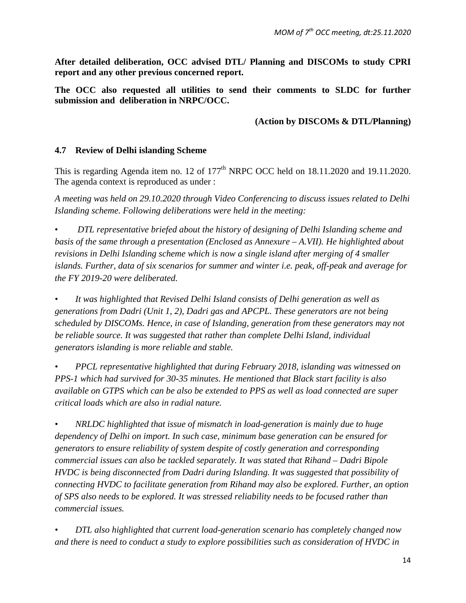**After detailed deliberation, OCC advised DTL/ Planning and DISCOMs to study CPRI report and any other previous concerned report.** 

**The OCC also requested all utilities to send their comments to SLDC for further submission and deliberation in NRPC/OCC.**

#### **(Action by DISCOMs & DTL/Planning)**

#### **4.7 Review of Delhi islanding Scheme**

This is regarding Agenda item no. 12 of  $177<sup>th</sup>$  NRPC OCC held on  $18.11.2020$  and  $19.11.2020$ . The agenda context is reproduced as under :

*A meeting was held on 29.10.2020 through Video Conferencing to discuss issues related to Delhi Islanding scheme. Following deliberations were held in the meeting:* 

• *DTL representative briefed about the history of designing of Delhi Islanding scheme and basis of the same through a presentation (Enclosed as Annexure – A.VII). He highlighted about revisions in Delhi Islanding scheme which is now a single island after merging of 4 smaller islands. Further, data of six scenarios for summer and winter i.e. peak, off-peak and average for the FY 2019-20 were deliberated.* 

*• It was highlighted that Revised Delhi Island consists of Delhi generation as well as generations from Dadri (Unit 1, 2), Dadri gas and APCPL. These generators are not being scheduled by DISCOMs. Hence, in case of Islanding, generation from these generators may not be reliable source. It was suggested that rather than complete Delhi Island, individual generators islanding is more reliable and stable.* 

*• PPCL representative highlighted that during February 2018, islanding was witnessed on PPS-1 which had survived for 30-35 minutes. He mentioned that Black start facility is also available on GTPS which can be also be extended to PPS as well as load connected are super critical loads which are also in radial nature.* 

*• NRLDC highlighted that issue of mismatch in load-generation is mainly due to huge dependency of Delhi on import. In such case, minimum base generation can be ensured for generators to ensure reliability of system despite of costly generation and corresponding commercial issues can also be tackled separately. It was stated that Rihand – Dadri Bipole HVDC is being disconnected from Dadri during Islanding. It was suggested that possibility of connecting HVDC to facilitate generation from Rihand may also be explored. Further, an option of SPS also needs to be explored. It was stressed reliability needs to be focused rather than commercial issues.* 

*• DTL also highlighted that current load-generation scenario has completely changed now and there is need to conduct a study to explore possibilities such as consideration of HVDC in*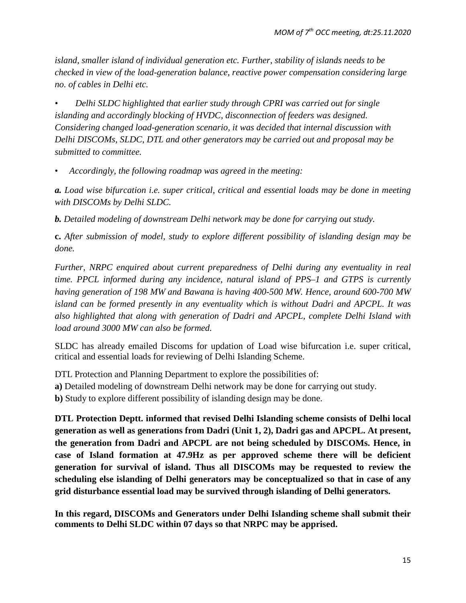*island, smaller island of individual generation etc. Further, stability of islands needs to be checked in view of the load-generation balance, reactive power compensation considering large no. of cables in Delhi etc.* 

*• Delhi SLDC highlighted that earlier study through CPRI was carried out for single islanding and accordingly blocking of HVDC, disconnection of feeders was designed. Considering changed load-generation scenario, it was decided that internal discussion with Delhi DISCOMs, SLDC, DTL and other generators may be carried out and proposal may be submitted to committee.* 

• *Accordingly, the following roadmap was agreed in the meeting:* 

*a. Load wise bifurcation i.e. super critical, critical and essential loads may be done in meeting with DISCOMs by Delhi SLDC.* 

*b. Detailed modeling of downstream Delhi network may be done for carrying out study.* 

**c.** *After submission of model, study to explore different possibility of islanding design may be done.* 

*Further, NRPC enquired about current preparedness of Delhi during any eventuality in real time. PPCL informed during any incidence, natural island of PPS–1 and GTPS is currently having generation of 198 MW and Bawana is having 400-500 MW. Hence, around 600-700 MW island can be formed presently in any eventuality which is without Dadri and APCPL. It was also highlighted that along with generation of Dadri and APCPL, complete Delhi Island with load around 3000 MW can also be formed.*

SLDC has already emailed Discoms for updation of Load wise bifurcation i.e. super critical, critical and essential loads for reviewing of Delhi Islanding Scheme.

DTL Protection and Planning Department to explore the possibilities of:

**a)** Detailed modeling of downstream Delhi network may be done for carrying out study.

**b)** Study to explore different possibility of islanding design may be done.

**DTL Protection Deptt. informed that revised Delhi Islanding scheme consists of Delhi local generation as well as generations from Dadri (Unit 1, 2), Dadri gas and APCPL. At present, the generation from Dadri and APCPL are not being scheduled by DISCOMs. Hence, in case of Island formation at 47.9Hz as per approved scheme there will be deficient generation for survival of island. Thus all DISCOMs may be requested to review the scheduling else islanding of Delhi generators may be conceptualized so that in case of any grid disturbance essential load may be survived through islanding of Delhi generators.**

**In this regard, DISCOMs and Generators under Delhi Islanding scheme shall submit their comments to Delhi SLDC within 07 days so that NRPC may be apprised.**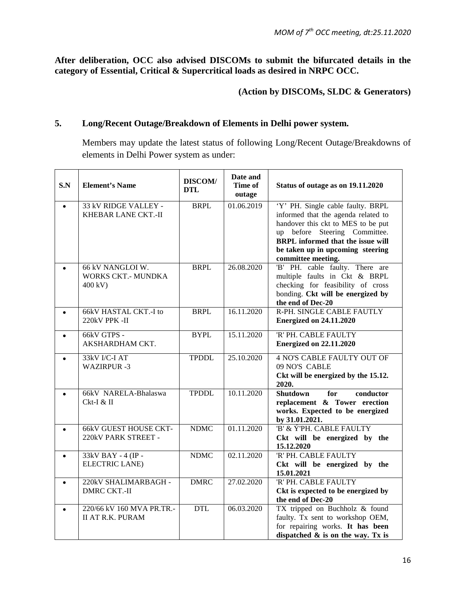**After deliberation, OCC also advised DISCOMs to submit the bifurcated details in the category of Essential, Critical & Supercritical loads as desired in NRPC OCC.**

# **(Action by DISCOMs, SLDC & Generators)**

# **5. Long/Recent Outage/Breakdown of Elements in Delhi power system.**

Members may update the latest status of following Long/Recent Outage/Breakdowns of elements in Delhi Power system as under:

| S.N       | <b>Element's Name</b>                                    | DISCOM/<br><b>DTL</b> | Date and<br>Time of<br>outage | Status of outage as on 19.11.2020                                                                                                                                                                                                                     |
|-----------|----------------------------------------------------------|-----------------------|-------------------------------|-------------------------------------------------------------------------------------------------------------------------------------------------------------------------------------------------------------------------------------------------------|
| $\bullet$ | 33 kV RIDGE VALLEY -<br>KHEBAR LANE CKT.-II              | <b>BRPL</b>           | 01.06.2019                    | 'Y' PH. Single cable faulty. BRPL<br>informed that the agenda related to<br>handover this ckt to MES to be put<br>up before Steering Committee.<br><b>BRPL</b> informed that the issue will<br>be taken up in upcoming steering<br>committee meeting. |
|           | 66 kV NANGLOI W.<br><b>WORKS CKT.- MUNDKA</b><br>400 kV) | <b>BRPL</b>           | 26.08.2020                    | 'B' PH. cable faulty. There are<br>multiple faults in Ckt & BRPL<br>checking for feasibility of cross<br>bonding. Ckt will be energized by<br>the end of Dec-20                                                                                       |
| $\bullet$ | 66kV HASTAL CKT.-I to<br>220kV PPK -II                   | <b>BRPL</b>           | 16.11.2020                    | R-PH. SINGLE CABLE FAUTLY<br><b>Energized on 24.11.2020</b>                                                                                                                                                                                           |
| $\bullet$ | 66kV GTPS -<br>AKSHARDHAM CKT.                           | <b>BYPL</b>           | 15.11.2020                    | 'R' PH. CABLE FAULTY<br><b>Energized on 22.11.2020</b>                                                                                                                                                                                                |
|           | 33kV I/C-I AT<br><b>WAZIRPUR-3</b>                       | <b>TPDDL</b>          | 25.10.2020                    | <b>4 NO'S CABLE FAULTY OUT OF</b><br>09 NO'S CABLE<br>Ckt will be energized by the 15.12.<br>2020.                                                                                                                                                    |
|           | 66kV NARELA-Bhalaswa<br>Ckt-I & II                       | <b>TPDDL</b>          | 10.11.2020                    | <b>Shutdown</b><br>conductor<br>for<br>replacement & Tower erection<br>works. Expected to be energized<br>by 31.01.2021.                                                                                                                              |
| $\bullet$ | <b>66kV GUEST HOUSE CKT-</b><br>220kV PARK STREET -      | <b>NDMC</b>           | 01.11.2020                    | 'B' & Ý'PH. CABLE FAULTY<br>Ckt will be energized by the<br>15.12.2020                                                                                                                                                                                |
|           | 33kV BAY - 4 (IP -<br><b>ELECTRIC LANE)</b>              | <b>NDMC</b>           | 02.11.2020                    | 'R' PH. CABLE FAULTY<br>Ckt will be energized by the<br>15.01.2021                                                                                                                                                                                    |
| $\bullet$ | 220kV SHALIMARBAGH -<br><b>DMRC CKT.-II</b>              | <b>DMRC</b>           | 27.02.2020                    | 'R' PH. CABLE FAULTY<br>Ckt is expected to be energized by<br>the end of Dec-20                                                                                                                                                                       |
| ٠         | 220/66 kV 160 MVA PR.TR.-<br><b>II AT R.K. PURAM</b>     | <b>DTL</b>            | 06.03.2020                    | TX tripped on Buchholz & found<br>faulty. Tx sent to workshop OEM,<br>for repairing works. It has been<br>dispatched $\&$ is on the way. Tx is                                                                                                        |